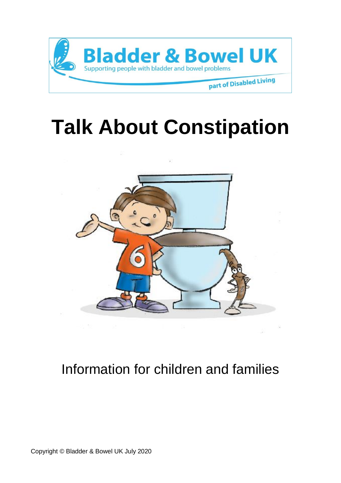

# **Talk About Constipation**



# Information for children and families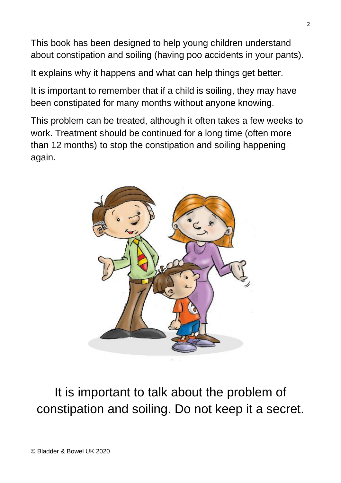This book has been designed to help young children understand about constipation and soiling (having poo accidents in your pants).

It explains why it happens and what can help things get better.

It is important to remember that if a child is soiling, they may have been constipated for many months without anyone knowing.

This problem can be treated, although it often takes a few weeks to work. Treatment should be continued for a long time (often more than 12 months) to stop the constipation and soiling happening again.



It is important to talk about the problem of constipation and soiling. Do not keep it a secret.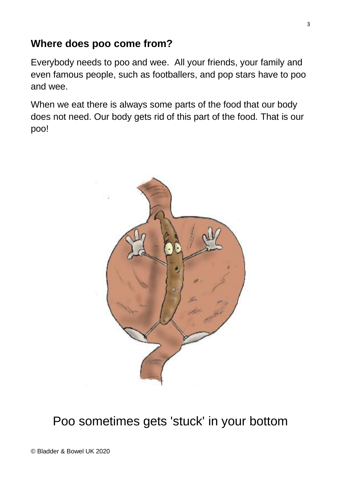#### **Where does poo come from?**

Everybody needs to poo and wee. All your friends, your family and even famous people, such as footballers, and pop stars have to poo and wee.

When we eat there is always some parts of the food that our body does not need. Our body gets rid of this part of the food. That is our poo!



### Poo sometimes gets 'stuck' in your bottom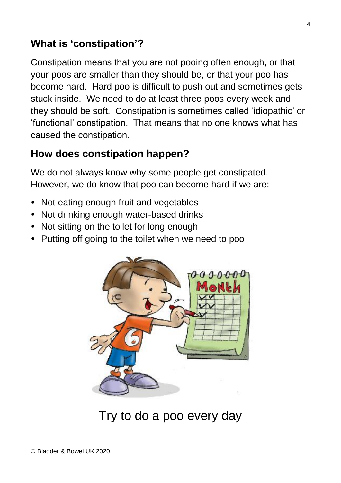### **What is 'constipation'?**

Constipation means that you are not pooing often enough, or that your poos are smaller than they should be, or that your poo has become hard. Hard poo is difficult to push out and sometimes gets stuck inside. We need to do at least three poos every week and they should be soft. Constipation is sometimes called 'idiopathic' or 'functional' constipation. That means that no one knows what has caused the constipation.

### **How does constipation happen?**

We do not always know why some people get constipated. However, we do know that poo can become hard if we are:

- Not eating enough fruit and vegetables
- Not drinking enough water-based drinks
- Not sitting on the toilet for long enough
- Putting off going to the toilet when we need to poo



Try to do a poo every day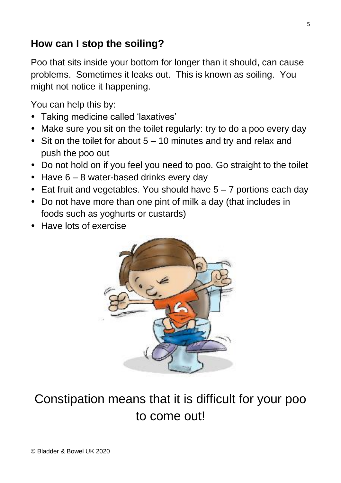### **How can I stop the soiling?**

Poo that sits inside your bottom for longer than it should, can cause problems. Sometimes it leaks out. This is known as soiling. You might not notice it happening.

You can help this by:

- Taking medicine called 'laxatives'
- Make sure you sit on the toilet regularly: try to do a poo every day
- Sit on the toilet for about  $5 10$  minutes and try and relax and push the poo out
- Do not hold on if you feel you need to poo. Go straight to the toilet
- Have  $6 8$  water-based drinks every day
- Eat fruit and vegetables. You should have  $5 7$  portions each day
- Do not have more than one pint of milk a day (that includes in foods such as yoghurts or custards)
- Have lots of exercise



## Constipation means that it is difficult for your poo to come out!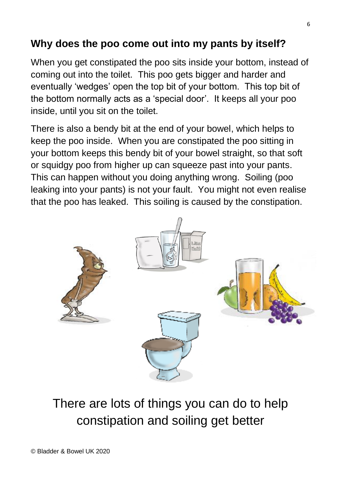### **Why does the poo come out into my pants by itself?**

When you get constipated the poo sits inside your bottom, instead of coming out into the toilet. This poo gets bigger and harder and eventually 'wedges' open the top bit of your bottom. This top bit of the bottom normally acts as a 'special door'. It keeps all your poo inside, until you sit on the toilet.

There is also a bendy bit at the end of your bowel, which helps to keep the poo inside. When you are constipated the poo sitting in your bottom keeps this bendy bit of your bowel straight, so that soft or squidgy poo from higher up can squeeze past into your pants. This can happen without you doing anything wrong. Soiling (poo leaking into your pants) is not your fault. You might not even realise that the poo has leaked. This soiling is caused by the constipation.



There are lots of things you can do to help constipation and soiling get better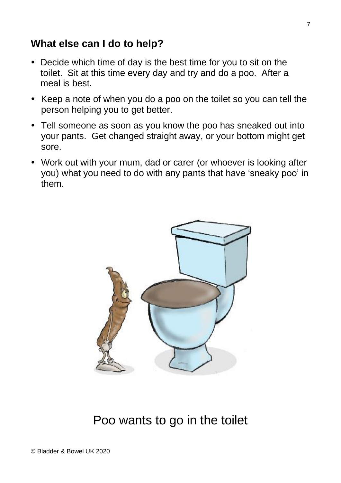#### **What else can I do to help?**

- Decide which time of day is the best time for you to sit on the toilet. Sit at this time every day and try and do a poo. After a meal is best.
- Keep a note of when you do a poo on the toilet so you can tell the person helping you to get better.
- Tell someone as soon as you know the poo has sneaked out into your pants. Get changed straight away, or your bottom might get sore.
- Work out with your mum, dad or carer (or whoever is looking after you) what you need to do with any pants that have 'sneaky poo' in them.



### Poo wants to go in the toilet